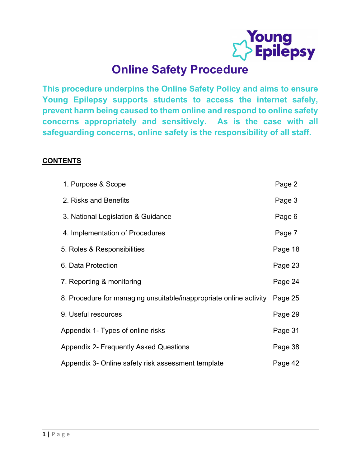

## Online Safety Procedure

This procedure underpins the Online Safety Policy and aims to ensure Young Epilepsy supports students to access the internet safely, prevent harm being caused to them online and respond to online safety concerns appropriately and sensitively. As is the case with all safeguarding concerns, online safety is the responsibility of all staff.

## **CONTENTS**

| 1. Purpose & Scope                                                 | Page 2  |
|--------------------------------------------------------------------|---------|
| 2. Risks and Benefits                                              | Page 3  |
| 3. National Legislation & Guidance                                 | Page 6  |
| 4. Implementation of Procedures                                    | Page 7  |
| 5. Roles & Responsibilities                                        | Page 18 |
| 6. Data Protection                                                 | Page 23 |
| 7. Reporting & monitoring                                          | Page 24 |
| 8. Procedure for managing unsuitable/inappropriate online activity | Page 25 |
| 9. Useful resources                                                | Page 29 |
| Appendix 1- Types of online risks                                  | Page 31 |
| <b>Appendix 2- Frequently Asked Questions</b>                      | Page 38 |
| Appendix 3- Online safety risk assessment template                 | Page 42 |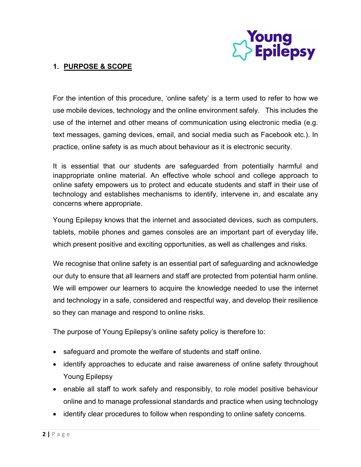

## 1. PURPOSE & SCOPE

For the intention of this procedure, 'online safety' is a term used to refer to how we use mobile devices, technology and the online environment safely. This includes the use of the internet and other means of communication using electronic media (e.g. text messages, gaming devices, email, and social media such as Facebook etc.). In practice, online safety is as much about behaviour as it is electronic security.

It is essential that our students are safeguarded from potentially harmful and inappropriate online material. An effective whole school and college approach to online safety empowers us to protect and educate students and staff in their use of technology and establishes mechanisms to identify, intervene in, and escalate any concerns where appropriate.

Young Epilepsy knows that the internet and associated devices, such as computers, tablets, mobile phones and games consoles are an important part of everyday life, which present positive and exciting opportunities, as well as challenges and risks.

We recognise that online safety is an essential part of safeguarding and acknowledge our duty to ensure that all learners and staff are protected from potential harm online. We will empower our learners to acquire the knowledge needed to use the internet and technology in a safe, considered and respectful way, and develop their resilience so they can manage and respond to online risks.

The purpose of Young Epilepsy's online safety policy is therefore to:

- safeguard and promote the welfare of students and staff online.
- identify approaches to educate and raise awareness of online safety throughout Young Epilepsy
- enable all staff to work safely and responsibly, to role model positive behaviour online and to manage professional standards and practice when using technology
- identify clear procedures to follow when responding to online safety concerns.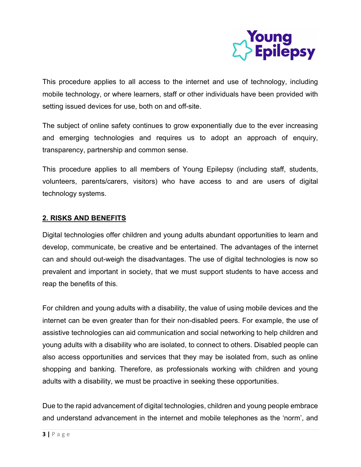

This procedure applies to all access to the internet and use of technology, including mobile technology, or where learners, staff or other individuals have been provided with setting issued devices for use, both on and off-site.

The subject of online safety continues to grow exponentially due to the ever increasing and emerging technologies and requires us to adopt an approach of enquiry, transparency, partnership and common sense.

This procedure applies to all members of Young Epilepsy (including staff, students, volunteers, parents/carers, visitors) who have access to and are users of digital technology systems.

## 2. RISKS AND BENEFITS

Digital technologies offer children and young adults abundant opportunities to learn and develop, communicate, be creative and be entertained. The advantages of the internet can and should out-weigh the disadvantages. The use of digital technologies is now so prevalent and important in society, that we must support students to have access and reap the benefits of this.

For children and young adults with a disability, the value of using mobile devices and the internet can be even greater than for their non-disabled peers. For example, the use of assistive technologies can aid communication and social networking to help children and young adults with a disability who are isolated, to connect to others. Disabled people can also access opportunities and services that they may be isolated from, such as online shopping and banking. Therefore, as professionals working with children and young adults with a disability, we must be proactive in seeking these opportunities.

Due to the rapid advancement of digital technologies, children and young people embrace and understand advancement in the internet and mobile telephones as the 'norm', and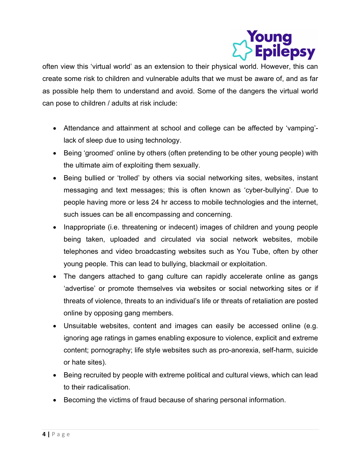

often view this 'virtual world' as an extension to their physical world. However, this can create some risk to children and vulnerable adults that we must be aware of, and as far as possible help them to understand and avoid. Some of the dangers the virtual world can pose to children / adults at risk include:

- Attendance and attainment at school and college can be affected by 'vamping' lack of sleep due to using technology.
- Being 'groomed' online by others (often pretending to be other young people) with the ultimate aim of exploiting them sexually.
- Being bullied or 'trolled' by others via social networking sites, websites, instant messaging and text messages; this is often known as 'cyber-bullying'. Due to people having more or less 24 hr access to mobile technologies and the internet, such issues can be all encompassing and concerning.
- Inappropriate (i.e. threatening or indecent) images of children and young people being taken, uploaded and circulated via social network websites, mobile telephones and video broadcasting websites such as You Tube, often by other young people. This can lead to bullying, blackmail or exploitation.
- The dangers attached to gang culture can rapidly accelerate online as gangs 'advertise' or promote themselves via websites or social networking sites or if threats of violence, threats to an individual's life or threats of retaliation are posted online by opposing gang members.
- Unsuitable websites, content and images can easily be accessed online (e.g. ignoring age ratings in games enabling exposure to violence, explicit and extreme content; pornography; life style websites such as pro-anorexia, self-harm, suicide or hate sites).
- Being recruited by people with extreme political and cultural views, which can lead to their radicalisation.
- Becoming the victims of fraud because of sharing personal information.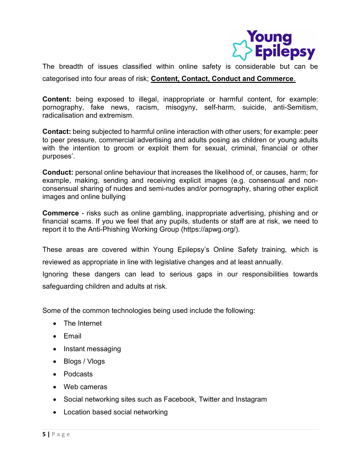

The breadth of issues classified within online safety is considerable but can be categorised into four areas of risk; **Content, Contact, Conduct and Commerce**.

Content: being exposed to illegal, inappropriate or harmful content, for example: pornography, fake news, racism, misogyny, self-harm, suicide, anti-Semitism, radicalisation and extremism.

Contact: being subjected to harmful online interaction with other users; for example: peer to peer pressure, commercial advertising and adults posing as children or young adults with the intention to groom or exploit them for sexual, criminal, financial or other purposes'.

Conduct: personal online behaviour that increases the likelihood of, or causes, harm; for example, making, sending and receiving explicit images (e.g. consensual and nonconsensual sharing of nudes and semi-nudes and/or pornography, sharing other explicit images and online bullying

Commerce - risks such as online gambling, inappropriate advertising, phishing and or financial scams. If you we feel that any pupils, students or staff are at risk, we need to report it to the Anti-Phishing Working Group (https://apwg.org/).

These areas are covered within Young Epilepsy's Online Safety training, which is reviewed as appropriate in line with legislative changes and at least annually.

Ignoring these dangers can lead to serious gaps in our responsibilities towards safeguarding children and adults at risk.

Some of the common technologies being used include the following:

- The Internet
- $\bullet$  Fmail
- Instant messaging
- Blogs / Vlogs
- Podcasts
- Web cameras
- Social networking sites such as Facebook, Twitter and Instagram
- Location based social networking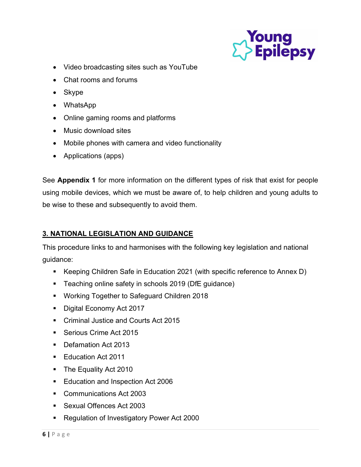

- Video broadcasting sites such as YouTube
- Chat rooms and forums
- Skype
- WhatsApp
- Online gaming rooms and platforms
- Music download sites
- Mobile phones with camera and video functionality
- Applications (apps)

See **Appendix 1** for more information on the different types of risk that exist for people using mobile devices, which we must be aware of, to help children and young adults to be wise to these and subsequently to avoid them.

## 3. NATIONAL LEGISLATION AND GUIDANCE

This procedure links to and harmonises with the following key legislation and national guidance:

- Keeping Children Safe in Education 2021 (with specific reference to Annex D)
- **Teaching online safety in schools 2019 (DfE guidance)**
- **Working Together to Safeguard Children 2018**
- Digital Economy Act 2017
- Criminal Justice and Courts Act 2015
- Serious Crime Act 2015
- Defamation Act 2013
- **Education Act 2011**
- The Equality Act 2010
- **Education and Inspection Act 2006**
- Communications Act 2003
- **Sexual Offences Act 2003**
- **Regulation of Investigatory Power Act 2000**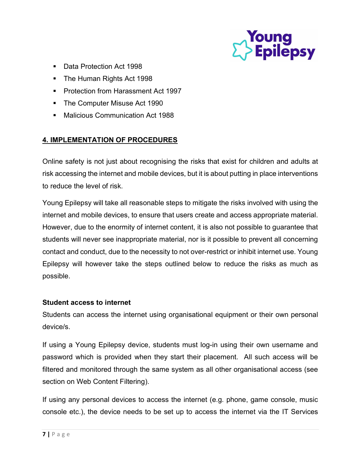

- Data Protection Act 1998
- The Human Rights Act 1998
- **Protection from Harassment Act 1997**
- The Computer Misuse Act 1990
- Malicious Communication Act 1988

## 4. IMPLEMENTATION OF PROCEDURES

Online safety is not just about recognising the risks that exist for children and adults at risk accessing the internet and mobile devices, but it is about putting in place interventions to reduce the level of risk.

Young Epilepsy will take all reasonable steps to mitigate the risks involved with using the internet and mobile devices, to ensure that users create and access appropriate material. However, due to the enormity of internet content, it is also not possible to guarantee that students will never see inappropriate material, nor is it possible to prevent all concerning contact and conduct, due to the necessity to not over-restrict or inhibit internet use. Young Epilepsy will however take the steps outlined below to reduce the risks as much as possible.

## Student access to internet

Students can access the internet using organisational equipment or their own personal device/s.

If using a Young Epilepsy device, students must log-in using their own username and password which is provided when they start their placement. All such access will be filtered and monitored through the same system as all other organisational access (see section on Web Content Filtering).

If using any personal devices to access the internet (e.g. phone, game console, music console etc.), the device needs to be set up to access the internet via the IT Services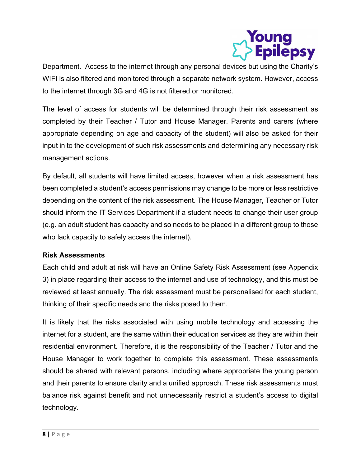

Department. Access to the internet through any personal devices but using the Charity's WIFI is also filtered and monitored through a separate network system. However, access to the internet through 3G and 4G is not filtered or monitored.

The level of access for students will be determined through their risk assessment as completed by their Teacher / Tutor and House Manager. Parents and carers (where appropriate depending on age and capacity of the student) will also be asked for their input in to the development of such risk assessments and determining any necessary risk management actions.

By default, all students will have limited access, however when a risk assessment has been completed a student's access permissions may change to be more or less restrictive depending on the content of the risk assessment. The House Manager, Teacher or Tutor should inform the IT Services Department if a student needs to change their user group (e.g. an adult student has capacity and so needs to be placed in a different group to those who lack capacity to safely access the internet).

## Risk Assessments

Each child and adult at risk will have an Online Safety Risk Assessment (see Appendix 3) in place regarding their access to the internet and use of technology, and this must be reviewed at least annually. The risk assessment must be personalised for each student, thinking of their specific needs and the risks posed to them.

It is likely that the risks associated with using mobile technology and accessing the internet for a student, are the same within their education services as they are within their residential environment. Therefore, it is the responsibility of the Teacher / Tutor and the House Manager to work together to complete this assessment. These assessments should be shared with relevant persons, including where appropriate the young person and their parents to ensure clarity and a unified approach. These risk assessments must balance risk against benefit and not unnecessarily restrict a student's access to digital technology.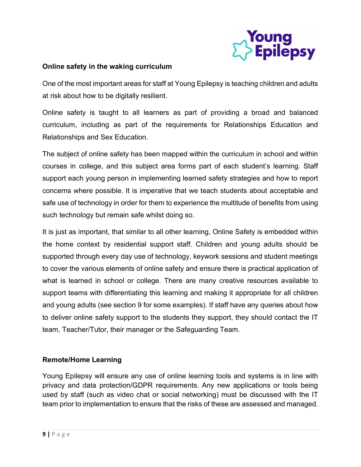

## Online safety in the waking curriculum

One of the most important areas for staff at Young Epilepsy is teaching children and adults at risk about how to be digitally resilient.

Online safety is taught to all learners as part of providing a broad and balanced curriculum, including as part of the requirements for Relationships Education and Relationships and Sex Education.

The subject of online safety has been mapped within the curriculum in school and within courses in college, and this subject area forms part of each student's learning. Staff support each young person in implementing learned safety strategies and how to report concerns where possible. It is imperative that we teach students about acceptable and safe use of technology in order for them to experience the multitude of benefits from using such technology but remain safe whilst doing so.

It is just as important, that similar to all other learning, Online Safety is embedded within the home context by residential support staff. Children and young adults should be supported through every day use of technology, keywork sessions and student meetings to cover the various elements of online safety and ensure there is practical application of what is learned in school or college. There are many creative resources available to support teams with differentiating this learning and making it appropriate for all children and young adults (see section 9 for some examples). If staff have any queries about how to deliver online safety support to the students they support, they should contact the IT team, Teacher/Tutor, their manager or the Safeguarding Team.

## Remote/Home Learning

Young Epilepsy will ensure any use of online learning tools and systems is in line with privacy and data protection/GDPR requirements. Any new applications or tools being used by staff (such as video chat or social networking) must be discussed with the IT team prior to implementation to ensure that the risks of these are assessed and managed.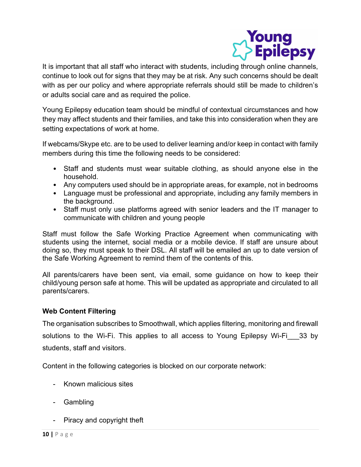

It is important that all staff who interact with students, including through online channels, continue to look out for signs that they may be at risk. Any such concerns should be dealt with as per our policy and where appropriate referrals should still be made to children's or adults social care and as required the police.

Young Epilepsy education team should be mindful of contextual circumstances and how they may affect students and their families, and take this into consideration when they are setting expectations of work at home.

If webcams/Skype etc. are to be used to deliver learning and/or keep in contact with family members during this time the following needs to be considered:

- Staff and students must wear suitable clothing, as should anyone else in the household.
- Any computers used should be in appropriate areas, for example, not in bedrooms
- Language must be professional and appropriate, including any family members in the background.
- Staff must only use platforms agreed with senior leaders and the IT manager to communicate with children and young people

Staff must follow the Safe Working Practice Agreement when communicating with students using the internet, social media or a mobile device. If staff are unsure about doing so, they must speak to their DSL. All staff will be emailed an up to date version of the Safe Working Agreement to remind them of the contents of this.

All parents/carers have been sent, via email, some guidance on how to keep their child/young person safe at home. This will be updated as appropriate and circulated to all parents/carers.

## Web Content Filtering

The organisation subscribes to Smoothwall, which applies filtering, monitoring and firewall solutions to the Wi-Fi. This applies to all access to Young Epilepsy Wi-Fi 33 by students, staff and visitors.

Content in the following categories is blocked on our corporate network:

- Known malicious sites
- Gambling
- Piracy and copyright theft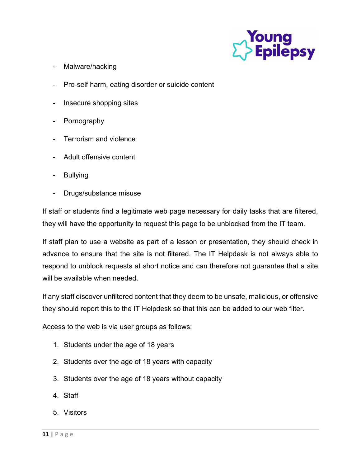

- Malware/hacking
- Pro-self harm, eating disorder or suicide content
- Insecure shopping sites
- **Pornography**
- Terrorism and violence
- Adult offensive content
- **Bullying**
- Drugs/substance misuse

If staff or students find a legitimate web page necessary for daily tasks that are filtered, they will have the opportunity to request this page to be unblocked from the IT team.

If staff plan to use a website as part of a lesson or presentation, they should check in advance to ensure that the site is not filtered. The IT Helpdesk is not always able to respond to unblock requests at short notice and can therefore not guarantee that a site will be available when needed.

If any staff discover unfiltered content that they deem to be unsafe, malicious, or offensive they should report this to the IT Helpdesk so that this can be added to our web filter.

Access to the web is via user groups as follows:

- 1. Students under the age of 18 years
- 2. Students over the age of 18 years with capacity
- 3. Students over the age of 18 years without capacity
- 4. Staff
- 5. Visitors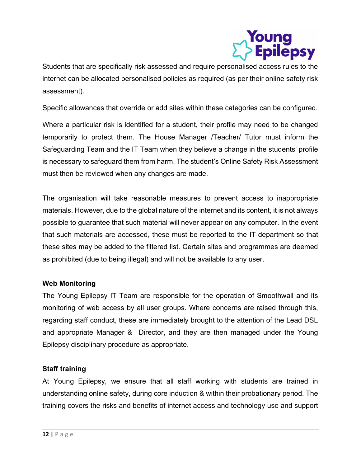

Students that are specifically risk assessed and require personalised access rules to the internet can be allocated personalised policies as required (as per their online safety risk assessment).

Specific allowances that override or add sites within these categories can be configured.

Where a particular risk is identified for a student, their profile may need to be changed temporarily to protect them. The House Manager /Teacher/ Tutor must inform the Safeguarding Team and the IT Team when they believe a change in the students' profile is necessary to safeguard them from harm. The student's Online Safety Risk Assessment must then be reviewed when any changes are made.

The organisation will take reasonable measures to prevent access to inappropriate materials. However, due to the global nature of the internet and its content, it is not always possible to guarantee that such material will never appear on any computer. In the event that such materials are accessed, these must be reported to the IT department so that these sites may be added to the filtered list. Certain sites and programmes are deemed as prohibited (due to being illegal) and will not be available to any user.

## Web Monitoring

The Young Epilepsy IT Team are responsible for the operation of Smoothwall and its monitoring of web access by all user groups. Where concerns are raised through this, regarding staff conduct, these are immediately brought to the attention of the Lead DSL and appropriate Manager & Director, and they are then managed under the Young Epilepsy disciplinary procedure as appropriate.

## Staff training

At Young Epilepsy, we ensure that all staff working with students are trained in understanding online safety, during core induction & within their probationary period. The training covers the risks and benefits of internet access and technology use and support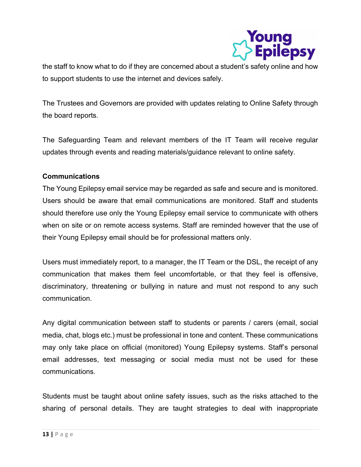

the staff to know what to do if they are concerned about a student's safety online and how to support students to use the internet and devices safely.

The Trustees and Governors are provided with updates relating to Online Safety through the board reports.

The Safeguarding Team and relevant members of the IT Team will receive regular updates through events and reading materials/guidance relevant to online safety.

## Communications

The Young Epilepsy email service may be regarded as safe and secure and is monitored. Users should be aware that email communications are monitored. Staff and students should therefore use only the Young Epilepsy email service to communicate with others when on site or on remote access systems. Staff are reminded however that the use of their Young Epilepsy email should be for professional matters only.

Users must immediately report, to a manager, the IT Team or the DSL, the receipt of any communication that makes them feel uncomfortable, or that they feel is offensive, discriminatory, threatening or bullying in nature and must not respond to any such communication.

Any digital communication between staff to students or parents / carers (email, social media, chat, blogs etc.) must be professional in tone and content. These communications may only take place on official (monitored) Young Epilepsy systems. Staff's personal email addresses, text messaging or social media must not be used for these communications.

Students must be taught about online safety issues, such as the risks attached to the sharing of personal details. They are taught strategies to deal with inappropriate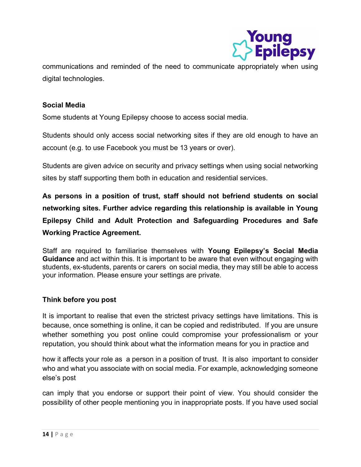

communications and reminded of the need to communicate appropriately when using digital technologies.

## Social Media

Some students at Young Epilepsy choose to access social media.

Students should only access social networking sites if they are old enough to have an account (e.g. to use Facebook you must be 13 years or over).

Students are given advice on security and privacy settings when using social networking sites by staff supporting them both in education and residential services.

As persons in a position of trust, staff should not befriend students on social networking sites. Further advice regarding this relationship is available in Young Epilepsy Child and Adult Protection and Safeguarding Procedures and Safe Working Practice Agreement.

Staff are required to familiarise themselves with Young Epilepsy's Social Media Guidance and act within this. It is important to be aware that even without engaging with students, ex-students, parents or carers on social media, they may still be able to access your information. Please ensure your settings are private.

## Think before you post

It is important to realise that even the strictest privacy settings have limitations. This is because, once something is online, it can be copied and redistributed. If you are unsure whether something you post online could compromise your professionalism or your reputation, you should think about what the information means for you in practice and

how it affects your role as a person in a position of trust. It is also important to consider who and what you associate with on social media. For example, acknowledging someone else's post

can imply that you endorse or support their point of view. You should consider the possibility of other people mentioning you in inappropriate posts. If you have used social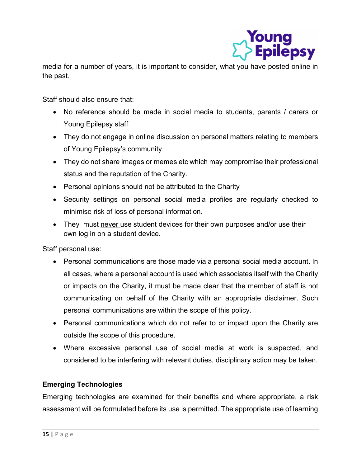

media for a number of years, it is important to consider, what you have posted online in the past.

Staff should also ensure that:

- No reference should be made in social media to students, parents / carers or Young Epilepsy staff
- They do not engage in online discussion on personal matters relating to members of Young Epilepsy's community
- They do not share images or memes etc which may compromise their professional status and the reputation of the Charity.
- Personal opinions should not be attributed to the Charity
- Security settings on personal social media profiles are regularly checked to minimise risk of loss of personal information.
- They must never use student devices for their own purposes and/or use their own log in on a student device.

Staff personal use:

- Personal communications are those made via a personal social media account. In all cases, where a personal account is used which associates itself with the Charity or impacts on the Charity, it must be made clear that the member of staff is not communicating on behalf of the Charity with an appropriate disclaimer. Such personal communications are within the scope of this policy.
- Personal communications which do not refer to or impact upon the Charity are outside the scope of this procedure.
- Where excessive personal use of social media at work is suspected, and considered to be interfering with relevant duties, disciplinary action may be taken.

## Emerging Technologies

Emerging technologies are examined for their benefits and where appropriate, a risk assessment will be formulated before its use is permitted. The appropriate use of learning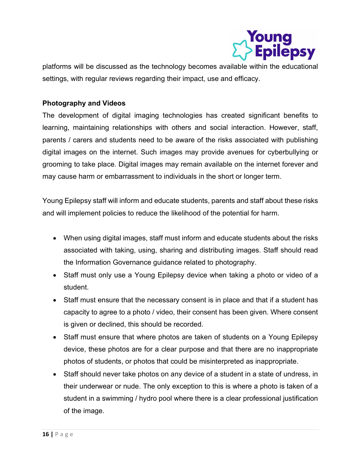

platforms will be discussed as the technology becomes available within the educational settings, with regular reviews regarding their impact, use and efficacy.

## Photography and Videos

The development of digital imaging technologies has created significant benefits to learning, maintaining relationships with others and social interaction. However, staff, parents / carers and students need to be aware of the risks associated with publishing digital images on the internet. Such images may provide avenues for cyberbullying or grooming to take place. Digital images may remain available on the internet forever and may cause harm or embarrassment to individuals in the short or longer term.

Young Epilepsy staff will inform and educate students, parents and staff about these risks and will implement policies to reduce the likelihood of the potential for harm.

- When using digital images, staff must inform and educate students about the risks associated with taking, using, sharing and distributing images. Staff should read the Information Governance guidance related to photography.
- Staff must only use a Young Epilepsy device when taking a photo or video of a student.
- Staff must ensure that the necessary consent is in place and that if a student has capacity to agree to a photo / video, their consent has been given. Where consent is given or declined, this should be recorded.
- Staff must ensure that where photos are taken of students on a Young Epilepsy device, these photos are for a clear purpose and that there are no inappropriate photos of students, or photos that could be misinterpreted as inappropriate.
- Staff should never take photos on any device of a student in a state of undress, in their underwear or nude. The only exception to this is where a photo is taken of a student in a swimming / hydro pool where there is a clear professional justification of the image.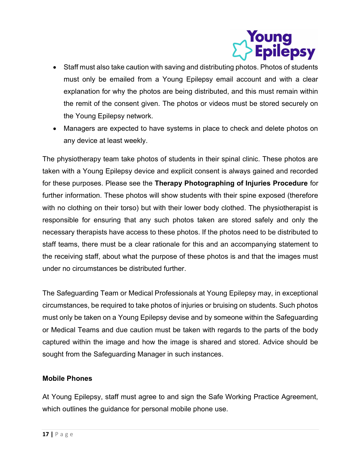

- Staff must also take caution with saving and distributing photos. Photos of students must only be emailed from a Young Epilepsy email account and with a clear explanation for why the photos are being distributed, and this must remain within the remit of the consent given. The photos or videos must be stored securely on the Young Epilepsy network.
- Managers are expected to have systems in place to check and delete photos on any device at least weekly.

The physiotherapy team take photos of students in their spinal clinic. These photos are taken with a Young Epilepsy device and explicit consent is always gained and recorded for these purposes. Please see the Therapy Photographing of Injuries Procedure for further information. These photos will show students with their spine exposed (therefore with no clothing on their torso) but with their lower body clothed. The physiotherapist is responsible for ensuring that any such photos taken are stored safely and only the necessary therapists have access to these photos. If the photos need to be distributed to staff teams, there must be a clear rationale for this and an accompanying statement to the receiving staff, about what the purpose of these photos is and that the images must under no circumstances be distributed further.

The Safeguarding Team or Medical Professionals at Young Epilepsy may, in exceptional circumstances, be required to take photos of injuries or bruising on students. Such photos must only be taken on a Young Epilepsy devise and by someone within the Safeguarding or Medical Teams and due caution must be taken with regards to the parts of the body captured within the image and how the image is shared and stored. Advice should be sought from the Safeguarding Manager in such instances.

## Mobile Phones

At Young Epilepsy, staff must agree to and sign the Safe Working Practice Agreement, which outlines the guidance for personal mobile phone use.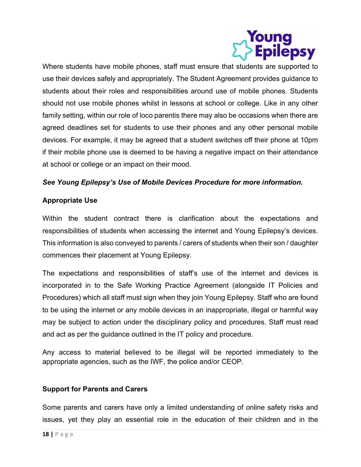

Where students have mobile phones, staff must ensure that students are supported to use their devices safely and appropriately. The Student Agreement provides guidance to students about their roles and responsibilities around use of mobile phones. Students should not use mobile phones whilst in lessons at school or college. Like in any other family setting, within our role of loco parentis there may also be occasions when there are agreed deadlines set for students to use their phones and any other personal mobile devices. For example, it may be agreed that a student switches off their phone at 10pm if their mobile phone use is deemed to be having a negative impact on their attendance at school or college or an impact on their mood.

## See Young Epilepsy's Use of Mobile Devices Procedure for more information.

## Appropriate Use

Within the student contract there is clarification about the expectations and responsibilities of students when accessing the internet and Young Epilepsy's devices. This information is also conveyed to parents / carers of students when their son / daughter commences their placement at Young Epilepsy.

The expectations and responsibilities of staff's use of the internet and devices is incorporated in to the Safe Working Practice Agreement (alongside IT Policies and Procedures) which all staff must sign when they join Young Epilepsy. Staff who are found to be using the internet or any mobile devices in an inappropriate, illegal or harmful way may be subject to action under the disciplinary policy and procedures. Staff must read and act as per the guidance outlined in the IT policy and procedure.

Any access to material believed to be illegal will be reported immediately to the appropriate agencies, such as the IWF, the police and/or CEOP.

## Support for Parents and Carers

Some parents and carers have only a limited understanding of online safety risks and issues, yet they play an essential role in the education of their children and in the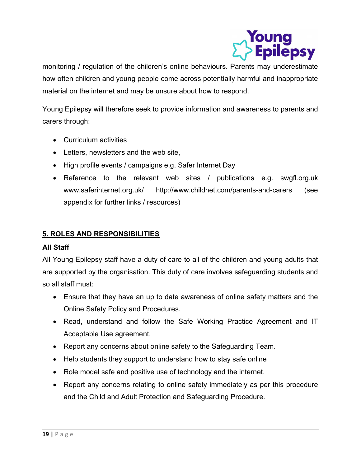

monitoring / regulation of the children's online behaviours. Parents may underestimate how often children and young people come across potentially harmful and inappropriate material on the internet and may be unsure about how to respond.

Young Epilepsy will therefore seek to provide information and awareness to parents and carers through:

- Curriculum activities
- Letters, newsletters and the web site,
- High profile events / campaigns e.g. Safer Internet Day
- Reference to the relevant web sites / publications e.g. swgfl.org.uk www.saferinternet.org.uk/ http://www.childnet.com/parents-and-carers (see appendix for further links / resources)

## 5. ROLES AND RESPONSIBILITIES

#### All Staff

All Young Epilepsy staff have a duty of care to all of the children and young adults that are supported by the organisation. This duty of care involves safeguarding students and so all staff must:

- Ensure that they have an up to date awareness of online safety matters and the Online Safety Policy and Procedures.
- Read, understand and follow the Safe Working Practice Agreement and IT Acceptable Use agreement.
- Report any concerns about online safety to the Safeguarding Team.
- Help students they support to understand how to stay safe online
- Role model safe and positive use of technology and the internet.
- Report any concerns relating to online safety immediately as per this procedure and the Child and Adult Protection and Safeguarding Procedure.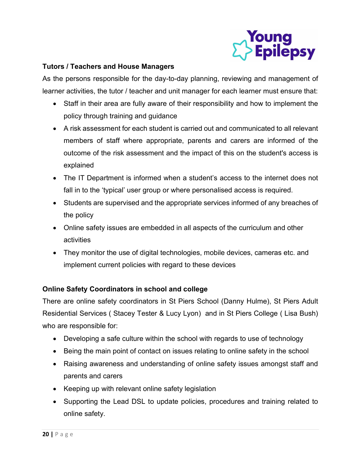

## Tutors / Teachers and House Managers

As the persons responsible for the day-to-day planning, reviewing and management of learner activities, the tutor / teacher and unit manager for each learner must ensure that:

- Staff in their area are fully aware of their responsibility and how to implement the policy through training and guidance
- A risk assessment for each student is carried out and communicated to all relevant members of staff where appropriate, parents and carers are informed of the outcome of the risk assessment and the impact of this on the student's access is explained
- The IT Department is informed when a student's access to the internet does not fall in to the 'typical' user group or where personalised access is required.
- Students are supervised and the appropriate services informed of any breaches of the policy
- Online safety issues are embedded in all aspects of the curriculum and other activities
- They monitor the use of digital technologies, mobile devices, cameras etc. and implement current policies with regard to these devices

## Online Safety Coordinators in school and college

There are online safety coordinators in St Piers School (Danny Hulme), St Piers Adult Residential Services ( Stacey Tester & Lucy Lyon) and in St Piers College ( Lisa Bush) who are responsible for:

- Developing a safe culture within the school with regards to use of technology
- Being the main point of contact on issues relating to online safety in the school
- Raising awareness and understanding of online safety issues amongst staff and parents and carers
- Keeping up with relevant online safety legislation
- Supporting the Lead DSL to update policies, procedures and training related to online safety.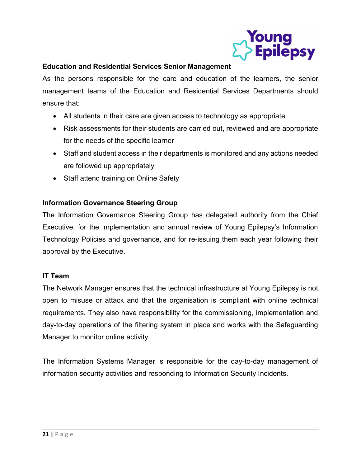

## Education and Residential Services Senior Management

As the persons responsible for the care and education of the learners, the senior management teams of the Education and Residential Services Departments should ensure that:

- All students in their care are given access to technology as appropriate
- Risk assessments for their students are carried out, reviewed and are appropriate for the needs of the specific learner
- Staff and student access in their departments is monitored and any actions needed are followed up appropriately
- Staff attend training on Online Safety

## Information Governance Steering Group

The Information Governance Steering Group has delegated authority from the Chief Executive, for the implementation and annual review of Young Epilepsy's Information Technology Policies and governance, and for re-issuing them each year following their approval by the Executive.

## IT Team

The Network Manager ensures that the technical infrastructure at Young Epilepsy is not open to misuse or attack and that the organisation is compliant with online technical requirements. They also have responsibility for the commissioning, implementation and day-to-day operations of the filtering system in place and works with the Safeguarding Manager to monitor online activity.

The Information Systems Manager is responsible for the day-to-day management of information security activities and responding to Information Security Incidents.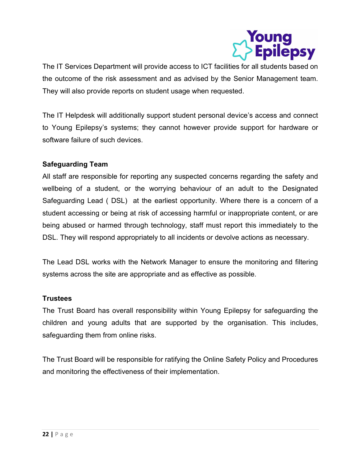

The IT Services Department will provide access to ICT facilities for all students based on the outcome of the risk assessment and as advised by the Senior Management team. They will also provide reports on student usage when requested.

The IT Helpdesk will additionally support student personal device's access and connect to Young Epilepsy's systems; they cannot however provide support for hardware or software failure of such devices.

## Safeguarding Team

All staff are responsible for reporting any suspected concerns regarding the safety and wellbeing of a student, or the worrying behaviour of an adult to the Designated Safeguarding Lead ( DSL) at the earliest opportunity. Where there is a concern of a student accessing or being at risk of accessing harmful or inappropriate content, or are being abused or harmed through technology, staff must report this immediately to the DSL. They will respond appropriately to all incidents or devolve actions as necessary.

The Lead DSL works with the Network Manager to ensure the monitoring and filtering systems across the site are appropriate and as effective as possible.

## **Trustees**

The Trust Board has overall responsibility within Young Epilepsy for safeguarding the children and young adults that are supported by the organisation. This includes, safeguarding them from online risks.

The Trust Board will be responsible for ratifying the Online Safety Policy and Procedures and monitoring the effectiveness of their implementation.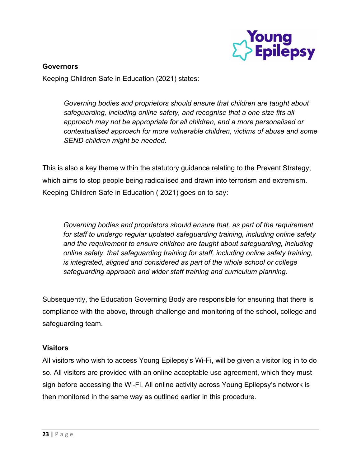

## **Governors**

Keeping Children Safe in Education (2021) states:

Governing bodies and proprietors should ensure that children are taught about safeguarding, including online safety, and recognise that a one size fits all approach may not be appropriate for all children, and a more personalised or contextualised approach for more vulnerable children, victims of abuse and some SEND children might be needed.

This is also a key theme within the statutory guidance relating to the Prevent Strategy, which aims to stop people being radicalised and drawn into terrorism and extremism. Keeping Children Safe in Education ( 2021) goes on to say:

Governing bodies and proprietors should ensure that, as part of the requirement for staff to undergo regular updated safeguarding training, including online safety and the requirement to ensure children are taught about safeguarding, including online safety. that safeguarding training for staff, including online safety training, is integrated, aligned and considered as part of the whole school or college safeguarding approach and wider staff training and curriculum planning.

Subsequently, the Education Governing Body are responsible for ensuring that there is compliance with the above, through challenge and monitoring of the school, college and safeguarding team.

## Visitors

All visitors who wish to access Young Epilepsy's Wi-Fi, will be given a visitor log in to do so. All visitors are provided with an online acceptable use agreement, which they must sign before accessing the Wi-Fi. All online activity across Young Epilepsy's network is then monitored in the same way as outlined earlier in this procedure.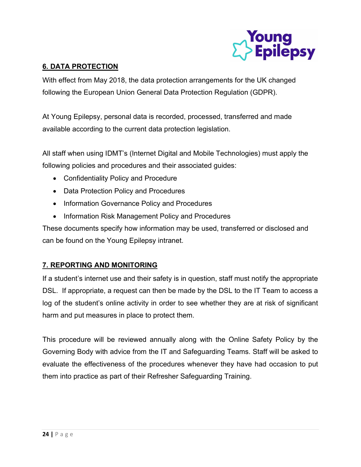

## 6. DATA PROTECTION

With effect from May 2018, the data protection arrangements for the UK changed following the European Union General Data Protection Regulation (GDPR).

At Young Epilepsy, personal data is recorded, processed, transferred and made available according to the current data protection legislation.

All staff when using IDMT's (Internet Digital and Mobile Technologies) must apply the following policies and procedures and their associated guides:

- Confidentiality Policy and Procedure
- Data Protection Policy and Procedures
- Information Governance Policy and Procedures
- Information Risk Management Policy and Procedures

These documents specify how information may be used, transferred or disclosed and can be found on the Young Epilepsy intranet.

## 7. REPORTING AND MONITORING

If a student's internet use and their safety is in question, staff must notify the appropriate DSL. If appropriate, a request can then be made by the DSL to the IT Team to access a log of the student's online activity in order to see whether they are at risk of significant harm and put measures in place to protect them.

This procedure will be reviewed annually along with the Online Safety Policy by the Governing Body with advice from the IT and Safeguarding Teams. Staff will be asked to evaluate the effectiveness of the procedures whenever they have had occasion to put them into practice as part of their Refresher Safeguarding Training.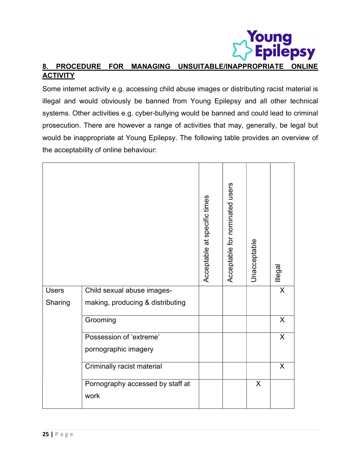# **Young<br>• Epilepsy** 8. PROCEDURE FOR MANAGING UNSUITABLE/INAPPROPRIATE ONLINE **ACTIVITY**

Some internet activity e.g. accessing child abuse images or distributing racist material is illegal and would obviously be banned from Young Epilepsy and all other technical systems. Other activities e.g. cyber-bullying would be banned and could lead to criminal prosecution. There are however a range of activities that may, generally, be legal but would be inappropriate at Young Epilepsy. The following table provides an overview of the acceptability of online behaviour:

|              |                                  | Acceptable at specific times | Acceptable for nominated users | Unacceptable | llegal         |
|--------------|----------------------------------|------------------------------|--------------------------------|--------------|----------------|
| <b>Users</b> | Child sexual abuse images-       |                              |                                |              | X              |
| Sharing      | making, producing & distributing |                              |                                |              |                |
|              | Grooming                         |                              |                                |              | $\overline{X}$ |
|              | Possession of 'extreme'          |                              |                                |              | $\overline{X}$ |
|              | pornographic imagery             |                              |                                |              |                |
|              | Criminally racist material       |                              |                                |              | X              |
|              | Pornography accessed by staff at |                              |                                | $\mathsf{X}$ |                |
|              | work                             |                              |                                |              |                |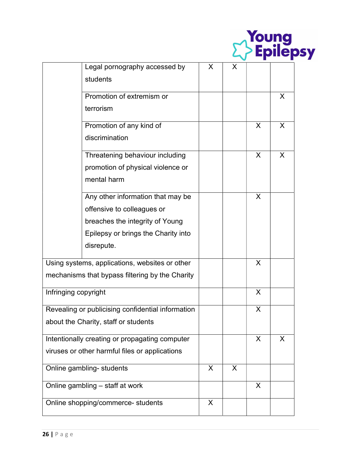|                                                |                                                   |   |   |         | <b>Young<br/>&gt; Epilepsy</b> |  |
|------------------------------------------------|---------------------------------------------------|---|---|---------|--------------------------------|--|
|                                                | Legal pornography accessed by                     | X | X |         |                                |  |
|                                                | students                                          |   |   |         |                                |  |
|                                                | Promotion of extremism or                         |   |   |         | X                              |  |
|                                                | terrorism                                         |   |   |         |                                |  |
|                                                | Promotion of any kind of                          |   |   | X       | $\mathsf{X}$                   |  |
|                                                | discrimination                                    |   |   |         |                                |  |
|                                                | Threatening behaviour including                   |   |   | X       | X                              |  |
|                                                | promotion of physical violence or                 |   |   |         |                                |  |
|                                                | mental harm                                       |   |   |         |                                |  |
|                                                | Any other information that may be                 |   |   | X       |                                |  |
|                                                | offensive to colleagues or                        |   |   |         |                                |  |
|                                                | breaches the integrity of Young                   |   |   |         |                                |  |
|                                                | Epilepsy or brings the Charity into               |   |   |         |                                |  |
|                                                | disrepute.                                        |   |   |         |                                |  |
|                                                | Using systems, applications, websites or other    |   |   | X       |                                |  |
|                                                | mechanisms that bypass filtering by the Charity   |   |   |         |                                |  |
| Infringing copyright                           |                                                   |   |   | X       |                                |  |
|                                                | Revealing or publicising confidential information |   |   | X       |                                |  |
|                                                | about the Charity, staff or students              |   |   |         |                                |  |
| Intentionally creating or propagating computer |                                                   |   |   | $\sf X$ | X                              |  |
| viruses or other harmful files or applications |                                                   |   |   |         |                                |  |
|                                                | Online gambling- students                         | X | X |         |                                |  |
|                                                | Online gambling - staff at work                   |   |   | X       |                                |  |
|                                                | Online shopping/commerce- students                | X |   |         |                                |  |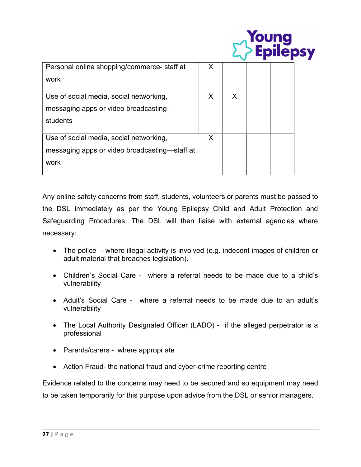|                                               |   |   | <b><i>foung</i></b><br><b>Epilepsy</b> |  |
|-----------------------------------------------|---|---|----------------------------------------|--|
| Personal online shopping/commerce- staff at   | X |   |                                        |  |
| work                                          |   |   |                                        |  |
| Use of social media, social networking,       | X | X |                                        |  |
| messaging apps or video broadcasting-         |   |   |                                        |  |
| students                                      |   |   |                                        |  |
| Use of social media, social networking,       | X |   |                                        |  |
| messaging apps or video broadcasting—staff at |   |   |                                        |  |
| work                                          |   |   |                                        |  |
|                                               |   |   |                                        |  |

Any online safety concerns from staff, students, volunteers or parents must be passed to the DSL immediately as per the Young Epilepsy Child and Adult Protection and Safeguarding Procedures. The DSL will then liaise with external agencies where necessary:

- The police where illegal activity is involved (e.g. indecent images of children or adult material that breaches legislation).
- Children's Social Care where a referral needs to be made due to a child's vulnerability
- Adult's Social Care where a referral needs to be made due to an adult's vulnerability
- The Local Authority Designated Officer (LADO) if the alleged perpetrator is a professional
- Parents/carers where appropriate
- Action Fraud- the national fraud and cyber-crime reporting centre

Evidence related to the concerns may need to be secured and so equipment may need to be taken temporarily for this purpose upon advice from the DSL or senior managers.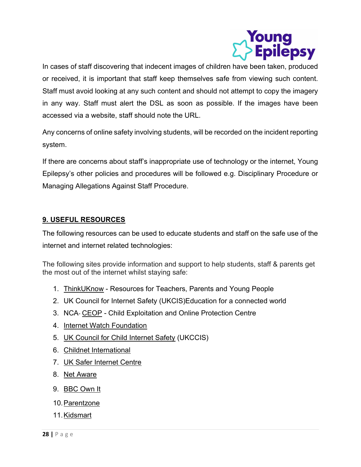

In cases of staff discovering that indecent images of children have been taken, produced or received, it is important that staff keep themselves safe from viewing such content. Staff must avoid looking at any such content and should not attempt to copy the imagery in any way. Staff must alert the DSL as soon as possible. If the images have been accessed via a website, staff should note the URL.

Any concerns of online safety involving students, will be recorded on the incident reporting system.

If there are concerns about staff's inappropriate use of technology or the internet, Young Epilepsy's other policies and procedures will be followed e.g. Disciplinary Procedure or Managing Allegations Against Staff Procedure.

## 9. USEFUL RESOURCES

The following resources can be used to educate students and staff on the safe use of the internet and internet related technologies:

The following sites provide information and support to help students, staff & parents get the most out of the internet whilst staying safe:

- 1. ThinkUKnow Resources for Teachers, Parents and Young People
- 2. UK Council for Internet Safety (UKCIS)Education for a connected world
- 3. NCA- CEOP Child Exploitation and Online Protection Centre
- 4. Internet Watch Foundation
- 5. UK Council for Child Internet Safety (UKCCIS)
- 6. Childnet International
- 7. UK Safer Internet Centre
- 8. Net Aware
- 9. BBC Own It
- 10. Parentzone
- 11. Kidsmart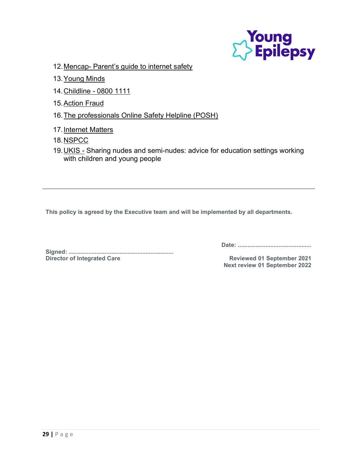

- 12. Mencap- Parent's guide to internet safety
- 13. Young Minds
- 14. Childline 0800 1111
- 15. Action Fraud
- 16. The professionals Online Safety Helpline (POSH)
- 17. Internet Matters
- 18. NSPCC
- 19. UKIS Sharing nudes and semi-nudes: advice for education settings working with children and young people

This policy is agreed by the Executive team and will be implemented by all departments.

Signed: ................................................................ Director of Integrated Care **Reviewed 01 September 2021** 

Date: .............................................

Next review 01 September 2022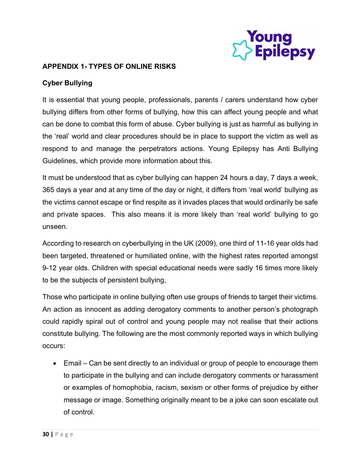

## APPENDIX 1- TYPES OF ONLINE RISKS

## Cyber Bullying

It is essential that young people, professionals, parents / carers understand how cyber bullying differs from other forms of bullying, how this can affect young people and what can be done to combat this form of abuse. Cyber bullying is just as harmful as bullying in the 'real' world and clear procedures should be in place to support the victim as well as respond to and manage the perpetrators actions. Young Epilepsy has Anti Bullying Guidelines, which provide more information about this.

It must be understood that as cyber bullying can happen 24 hours a day, 7 days a week, 365 days a year and at any time of the day or night, it differs from 'real world' bullying as the victims cannot escape or find respite as it invades places that would ordinarily be safe and private spaces. This also means it is more likely than 'real world' bullying to go unseen.

According to research on cyberbullying in the UK (2009), one third of 11-16 year olds had been targeted, threatened or humiliated online, with the highest rates reported amongst 9-12 year olds. Children with special educational needs were sadly 16 times more likely to be the subjects of persistent bullying,

Those who participate in online bullying often use groups of friends to target their victims. An action as innocent as adding derogatory comments to another person's photograph could rapidly spiral out of control and young people may not realise that their actions constitute bullying. The following are the most commonly reported ways in which bullying occurs:

 Email – Can be sent directly to an individual or group of people to encourage them to participate in the bullying and can include derogatory comments or harassment or examples of homophobia, racism, sexism or other forms of prejudice by either message or image. Something originally meant to be a joke can soon escalate out of control.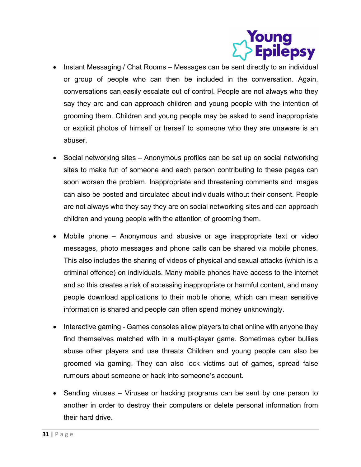

- Instant Messaging / Chat Rooms Messages can be sent directly to an individual or group of people who can then be included in the conversation. Again, conversations can easily escalate out of control. People are not always who they say they are and can approach children and young people with the intention of grooming them. Children and young people may be asked to send inappropriate or explicit photos of himself or herself to someone who they are unaware is an abuser.
- Social networking sites Anonymous profiles can be set up on social networking sites to make fun of someone and each person contributing to these pages can soon worsen the problem. Inappropriate and threatening comments and images can also be posted and circulated about individuals without their consent. People are not always who they say they are on social networking sites and can approach children and young people with the attention of grooming them.
- Mobile phone Anonymous and abusive or age inappropriate text or video messages, photo messages and phone calls can be shared via mobile phones. This also includes the sharing of videos of physical and sexual attacks (which is a criminal offence) on individuals. Many mobile phones have access to the internet and so this creates a risk of accessing inappropriate or harmful content, and many people download applications to their mobile phone, which can mean sensitive information is shared and people can often spend money unknowingly.
- Interactive gaming Games consoles allow players to chat online with anyone they find themselves matched with in a multi-player game. Sometimes cyber bullies abuse other players and use threats Children and young people can also be groomed via gaming. They can also lock victims out of games, spread false rumours about someone or hack into someone's account.
- Sending viruses Viruses or hacking programs can be sent by one person to another in order to destroy their computers or delete personal information from their hard drive.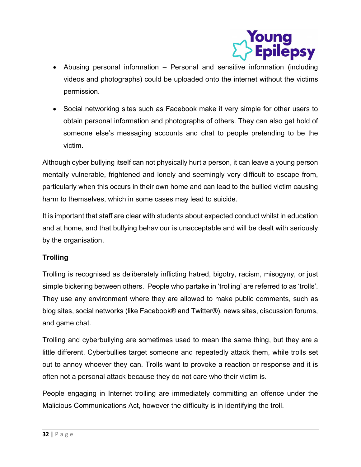

- Abusing personal information Personal and sensitive information (including videos and photographs) could be uploaded onto the internet without the victims permission.
- Social networking sites such as Facebook make it very simple for other users to obtain personal information and photographs of others. They can also get hold of someone else's messaging accounts and chat to people pretending to be the victim.

Although cyber bullying itself can not physically hurt a person, it can leave a young person mentally vulnerable, frightened and lonely and seemingly very difficult to escape from, particularly when this occurs in their own home and can lead to the bullied victim causing harm to themselves, which in some cases may lead to suicide.

It is important that staff are clear with students about expected conduct whilst in education and at home, and that bullying behaviour is unacceptable and will be dealt with seriously by the organisation.

## **Trolling**

Trolling is recognised as deliberately inflicting hatred, bigotry, racism, misogyny, or just simple bickering between others. People who partake in 'trolling' are referred to as 'trolls'. They use any environment where they are allowed to make public comments, such as blog sites, social networks (like Facebook® and Twitter®), news sites, discussion forums, and game chat.

Trolling and cyberbullying are sometimes used to mean the same thing, but they are a little different. Cyberbullies target someone and repeatedly attack them, while trolls set out to annoy whoever they can. Trolls want to provoke a reaction or response and it is often not a personal attack because they do not care who their victim is.

People engaging in Internet trolling are immediately committing an offence under the Malicious Communications Act, however the difficulty is in identifying the troll.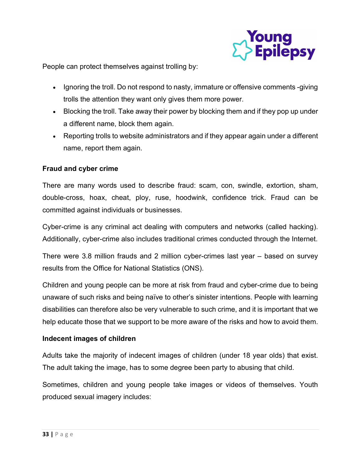

People can protect themselves against trolling by:

- Ignoring the troll. Do not respond to nasty, immature or offensive comments -giving trolls the attention they want only gives them more power.
- Blocking the troll. Take away their power by blocking them and if they pop up under a different name, block them again.
- Reporting trolls to website administrators and if they appear again under a different name, report them again.

## Fraud and cyber crime

There are many words used to describe fraud: scam, con, swindle, extortion, sham, double-cross, hoax, cheat, ploy, ruse, hoodwink, confidence trick. Fraud can be committed against individuals or businesses.

Cyber-crime is any criminal act dealing with computers and networks (called hacking). Additionally, cyber-crime also includes traditional crimes conducted through the Internet.

There were 3.8 million frauds and 2 million cyber-crimes last year – based on survey results from the Office for National Statistics (ONS).

Children and young people can be more at risk from fraud and cyber-crime due to being unaware of such risks and being naïve to other's sinister intentions. People with learning disabilities can therefore also be very vulnerable to such crime, and it is important that we help educate those that we support to be more aware of the risks and how to avoid them.

## Indecent images of children

Adults take the majority of indecent images of children (under 18 year olds) that exist. The adult taking the image, has to some degree been party to abusing that child.

Sometimes, children and young people take images or videos of themselves. Youth produced sexual imagery includes: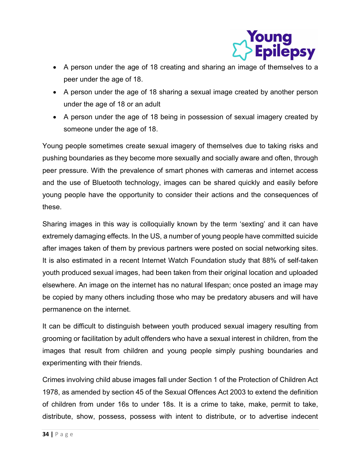

- A person under the age of 18 creating and sharing an image of themselves to a peer under the age of 18.
- A person under the age of 18 sharing a sexual image created by another person under the age of 18 or an adult
- A person under the age of 18 being in possession of sexual imagery created by someone under the age of 18.

Young people sometimes create sexual imagery of themselves due to taking risks and pushing boundaries as they become more sexually and socially aware and often, through peer pressure. With the prevalence of smart phones with cameras and internet access and the use of Bluetooth technology, images can be shared quickly and easily before young people have the opportunity to consider their actions and the consequences of these.

Sharing images in this way is colloquially known by the term 'sexting' and it can have extremely damaging effects. In the US, a number of young people have committed suicide after images taken of them by previous partners were posted on social networking sites. It is also estimated in a recent Internet Watch Foundation study that 88% of self-taken youth produced sexual images, had been taken from their original location and uploaded elsewhere. An image on the internet has no natural lifespan; once posted an image may be copied by many others including those who may be predatory abusers and will have permanence on the internet.

It can be difficult to distinguish between youth produced sexual imagery resulting from grooming or facilitation by adult offenders who have a sexual interest in children, from the images that result from children and young people simply pushing boundaries and experimenting with their friends.

Crimes involving child abuse images fall under Section 1 of the Protection of Children Act 1978, as amended by section 45 of the Sexual Offences Act 2003 to extend the definition of children from under 16s to under 18s. It is a crime to take, make, permit to take, distribute, show, possess, possess with intent to distribute, or to advertise indecent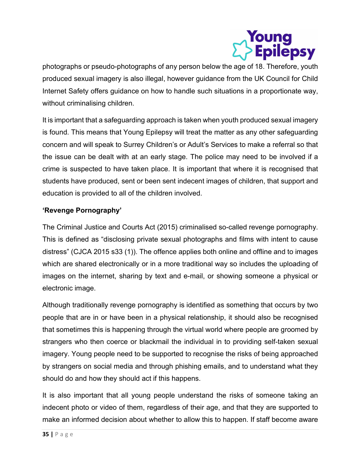

photographs or pseudo-photographs of any person below the age of 18. Therefore, youth produced sexual imagery is also illegal, however guidance from the UK Council for Child Internet Safety offers guidance on how to handle such situations in a proportionate way, without criminalising children.

It is important that a safeguarding approach is taken when youth produced sexual imagery is found. This means that Young Epilepsy will treat the matter as any other safeguarding concern and will speak to Surrey Children's or Adult's Services to make a referral so that the issue can be dealt with at an early stage. The police may need to be involved if a crime is suspected to have taken place. It is important that where it is recognised that students have produced, sent or been sent indecent images of children, that support and education is provided to all of the children involved.

## 'Revenge Pornography'

The Criminal Justice and Courts Act (2015) criminalised so-called revenge pornography. This is defined as "disclosing private sexual photographs and films with intent to cause distress" (CJCA 2015 s33 (1)). The offence applies both online and offline and to images which are shared electronically or in a more traditional way so includes the uploading of images on the internet, sharing by text and e-mail, or showing someone a physical or electronic image.

Although traditionally revenge pornography is identified as something that occurs by two people that are in or have been in a physical relationship, it should also be recognised that sometimes this is happening through the virtual world where people are groomed by strangers who then coerce or blackmail the individual in to providing self-taken sexual imagery. Young people need to be supported to recognise the risks of being approached by strangers on social media and through phishing emails, and to understand what they should do and how they should act if this happens.

It is also important that all young people understand the risks of someone taking an indecent photo or video of them, regardless of their age, and that they are supported to make an informed decision about whether to allow this to happen. If staff become aware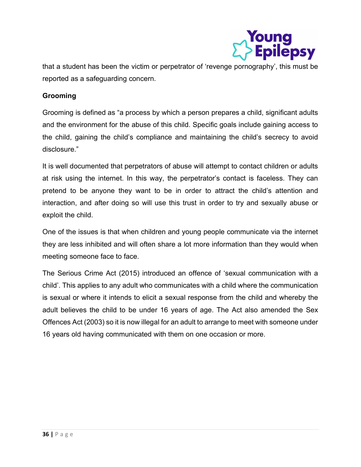

that a student has been the victim or perpetrator of 'revenge pornography', this must be reported as a safeguarding concern.

## Grooming

Grooming is defined as "a process by which a person prepares a child, significant adults and the environment for the abuse of this child. Specific goals include gaining access to the child, gaining the child's compliance and maintaining the child's secrecy to avoid disclosure."

It is well documented that perpetrators of abuse will attempt to contact children or adults at risk using the internet. In this way, the perpetrator's contact is faceless. They can pretend to be anyone they want to be in order to attract the child's attention and interaction, and after doing so will use this trust in order to try and sexually abuse or exploit the child.

One of the issues is that when children and young people communicate via the internet they are less inhibited and will often share a lot more information than they would when meeting someone face to face.

The Serious Crime Act (2015) introduced an offence of 'sexual communication with a child'. This applies to any adult who communicates with a child where the communication is sexual or where it intends to elicit a sexual response from the child and whereby the adult believes the child to be under 16 years of age. The Act also amended the Sex Offences Act (2003) so it is now illegal for an adult to arrange to meet with someone under 16 years old having communicated with them on one occasion or more.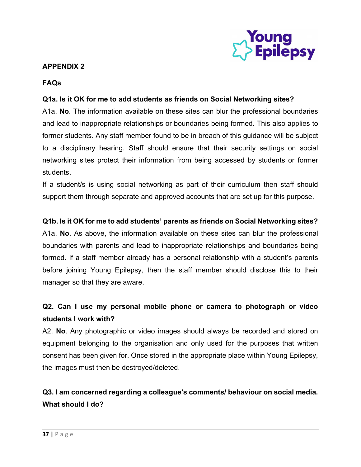

## APPENDIX 2

## FAQs

## Q1a. Is it OK for me to add students as friends on Social Networking sites?

A1a. No. The information available on these sites can blur the professional boundaries and lead to inappropriate relationships or boundaries being formed. This also applies to former students. Any staff member found to be in breach of this guidance will be subject to a disciplinary hearing. Staff should ensure that their security settings on social networking sites protect their information from being accessed by students or former students.

If a student/s is using social networking as part of their curriculum then staff should support them through separate and approved accounts that are set up for this purpose.

## Q1b. Is it OK for me to add students' parents as friends on Social Networking sites?

A1a. No. As above, the information available on these sites can blur the professional boundaries with parents and lead to inappropriate relationships and boundaries being formed. If a staff member already has a personal relationship with a student's parents before joining Young Epilepsy, then the staff member should disclose this to their manager so that they are aware.

## Q2. Can I use my personal mobile phone or camera to photograph or video students I work with?

A2. No. Any photographic or video images should always be recorded and stored on equipment belonging to the organisation and only used for the purposes that written consent has been given for. Once stored in the appropriate place within Young Epilepsy, the images must then be destroyed/deleted.

## Q3. I am concerned regarding a colleague's comments/ behaviour on social media. What should I do?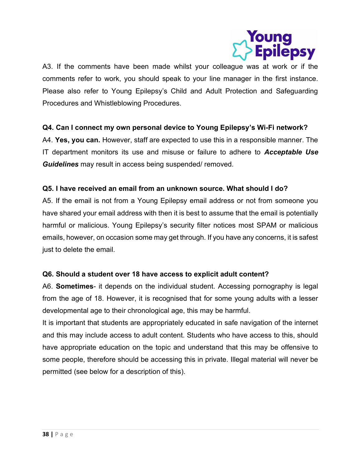

A3. If the comments have been made whilst your colleague was at work or if the comments refer to work, you should speak to your line manager in the first instance. Please also refer to Young Epilepsy's Child and Adult Protection and Safeguarding Procedures and Whistleblowing Procedures.

## Q4. Can I connect my own personal device to Young Epilepsy's Wi-Fi network?

A4. Yes, you can. However, staff are expected to use this in a responsible manner. The IT department monitors its use and misuse or failure to adhere to **Acceptable Use** Guidelines may result in access being suspended/ removed.

## Q5. I have received an email from an unknown source. What should I do?

A5. If the email is not from a Young Epilepsy email address or not from someone you have shared your email address with then it is best to assume that the email is potentially harmful or malicious. Young Epilepsy's security filter notices most SPAM or malicious emails, however, on occasion some may get through. If you have any concerns, it is safest just to delete the email.

## Q6. Should a student over 18 have access to explicit adult content?

A6. Sometimes- it depends on the individual student. Accessing pornography is legal from the age of 18. However, it is recognised that for some young adults with a lesser developmental age to their chronological age, this may be harmful.

It is important that students are appropriately educated in safe navigation of the internet and this may include access to adult content. Students who have access to this, should have appropriate education on the topic and understand that this may be offensive to some people, therefore should be accessing this in private. Illegal material will never be permitted (see below for a description of this).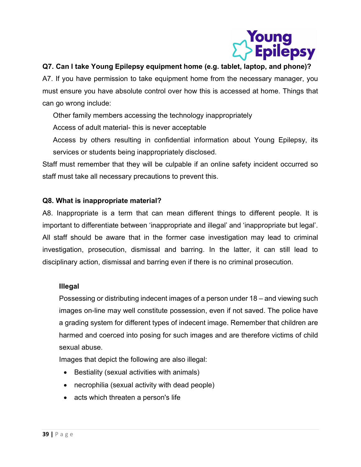

## Q7. Can I take Young Epilepsy equipment home (e.g. tablet, laptop, and phone)?

A7. If you have permission to take equipment home from the necessary manager, you must ensure you have absolute control over how this is accessed at home. Things that can go wrong include:

Other family members accessing the technology inappropriately

Access of adult material- this is never acceptable

Access by others resulting in confidential information about Young Epilepsy, its services or students being inappropriately disclosed.

Staff must remember that they will be culpable if an online safety incident occurred so staff must take all necessary precautions to prevent this.

## Q8. What is inappropriate material?

A8. Inappropriate is a term that can mean different things to different people. It is important to differentiate between 'inappropriate and illegal' and 'inappropriate but legal'. All staff should be aware that in the former case investigation may lead to criminal investigation, prosecution, dismissal and barring. In the latter, it can still lead to disciplinary action, dismissal and barring even if there is no criminal prosecution.

## Illegal

Possessing or distributing indecent images of a person under 18 – and viewing such images on-line may well constitute possession, even if not saved. The police have a grading system for different types of indecent image. Remember that children are harmed and coerced into posing for such images and are therefore victims of child sexual abuse.

Images that depict the following are also illegal:

- Bestiality (sexual activities with animals)
- necrophilia (sexual activity with dead people)
- acts which threaten a person's life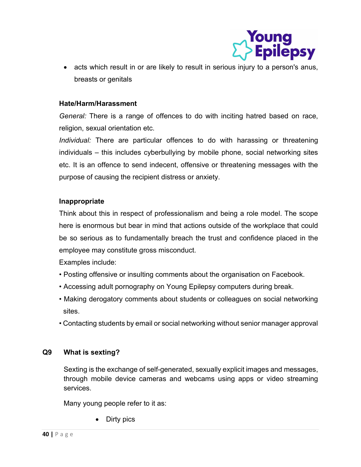

 acts which result in or are likely to result in serious injury to a person's anus, breasts or genitals

## Hate/Harm/Harassment

General: There is a range of offences to do with inciting hatred based on race, religion, sexual orientation etc.

Individual: There are particular offences to do with harassing or threatening individuals – this includes cyberbullying by mobile phone, social networking sites etc. It is an offence to send indecent, offensive or threatening messages with the purpose of causing the recipient distress or anxiety.

## Inappropriate

Think about this in respect of professionalism and being a role model. The scope here is enormous but bear in mind that actions outside of the workplace that could be so serious as to fundamentally breach the trust and confidence placed in the employee may constitute gross misconduct.

Examples include:

- Posting offensive or insulting comments about the organisation on Facebook.
- Accessing adult pornography on Young Epilepsy computers during break.
- Making derogatory comments about students or colleagues on social networking sites.
- Contacting students by email or social networking without senior manager approval

## Q9 What is sexting?

Sexting is the exchange of self-generated, sexually explicit images and messages, through mobile device cameras and webcams using apps or video streaming services.

Many young people refer to it as:

Dirty pics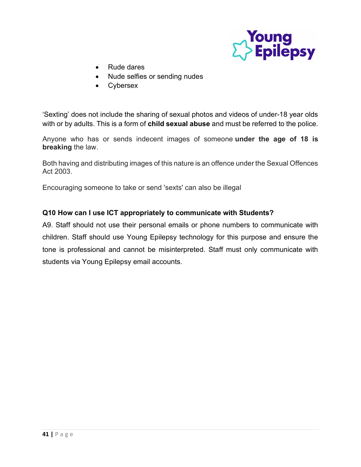

- Rude dares
- Nude selfies or sending nudes
- **Cybersex**

'Sexting' does not include the sharing of sexual photos and videos of under-18 year olds with or by adults. This is a form of **child sexual abuse** and must be referred to the police.

Anyone who has or sends indecent images of someone under the age of 18 is breaking the law.

Both having and distributing images of this nature is an offence under the Sexual Offences Act 2003.

Encouraging someone to take or send 'sexts' can also be illegal

## Q10 How can I use ICT appropriately to communicate with Students?

A9. Staff should not use their personal emails or phone numbers to communicate with children. Staff should use Young Epilepsy technology for this purpose and ensure the tone is professional and cannot be misinterpreted. Staff must only communicate with students via Young Epilepsy email accounts.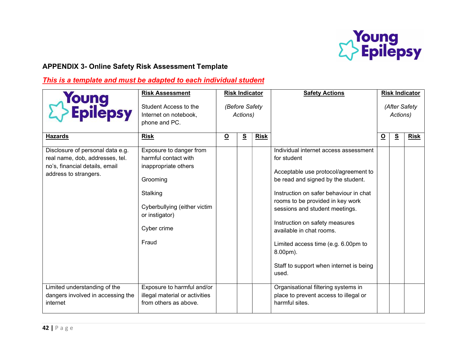

## APPENDIX 3- Online Safety Risk Assessment Template

## This is a template and must be adapted to each individual student

| <b>Young<br/>&gt; Epilepsy</b>                                                                                                 | <b>Risk Assessment</b><br>Student Access to the<br>Internet on notebook,<br>phone and PC.                                                                                 | <b>Risk Indicator</b><br>(Before Safety<br>Actions) |   |             | <b>Safety Actions</b>                                                                                                                                                                                                                                                                                                                                                                                                   |          | <b>Risk Indicator</b><br>(After Safety<br>Actions) |             |  |
|--------------------------------------------------------------------------------------------------------------------------------|---------------------------------------------------------------------------------------------------------------------------------------------------------------------------|-----------------------------------------------------|---|-------------|-------------------------------------------------------------------------------------------------------------------------------------------------------------------------------------------------------------------------------------------------------------------------------------------------------------------------------------------------------------------------------------------------------------------------|----------|----------------------------------------------------|-------------|--|
| <b>Hazards</b>                                                                                                                 | <b>Risk</b>                                                                                                                                                               | $\overline{\mathbf{o}}$                             | S | <b>Risk</b> |                                                                                                                                                                                                                                                                                                                                                                                                                         | <u>୦</u> | S                                                  | <b>Risk</b> |  |
| Disclosure of personal data e.g.<br>real name, dob, addresses, tel.<br>no's, financial details, email<br>address to strangers. | Exposure to danger from<br>harmful contact with<br>inappropriate others<br>Grooming<br>Stalking<br>Cyberbullying (either victim<br>or instigator)<br>Cyber crime<br>Fraud |                                                     |   |             | Individual internet access assessment<br>for student<br>Acceptable use protocol/agreement to<br>be read and signed by the student.<br>Instruction on safer behaviour in chat<br>rooms to be provided in key work<br>sessions and student meetings.<br>Instruction on safety measures<br>available in chat rooms.<br>Limited access time (e.g. 6.00pm to<br>8.00pm).<br>Staff to support when internet is being<br>used. |          |                                                    |             |  |
| Limited understanding of the<br>dangers involved in accessing the<br>internet                                                  | Exposure to harmful and/or<br>illegal material or activities<br>from others as above.                                                                                     |                                                     |   |             | Organisational filtering systems in<br>place to prevent access to illegal or<br>harmful sites.                                                                                                                                                                                                                                                                                                                          |          |                                                    |             |  |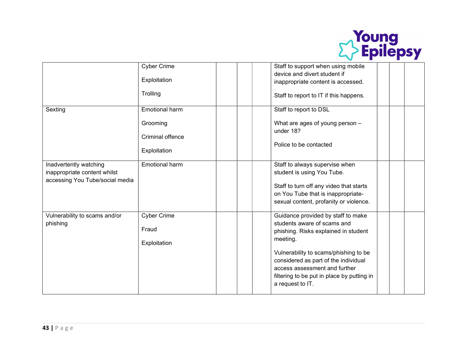

|                                 | <b>Cyber Crime</b>    |  | Staff to support when using mobile                             |  |  |
|---------------------------------|-----------------------|--|----------------------------------------------------------------|--|--|
|                                 |                       |  | device and divert student if                                   |  |  |
|                                 | Exploitation          |  | inappropriate content is accessed.                             |  |  |
|                                 | Trolling              |  | Staff to report to IT if this happens.                         |  |  |
| Sexting                         | <b>Emotional harm</b> |  | Staff to report to DSL                                         |  |  |
|                                 | Grooming              |  | What are ages of young person -                                |  |  |
|                                 | Criminal offence      |  | under 18?                                                      |  |  |
|                                 | Exploitation          |  | Police to be contacted                                         |  |  |
| Inadvertently watching          | Emotional harm        |  | Staff to always supervise when                                 |  |  |
| inappropriate content whilst    |                       |  | student is using You Tube.                                     |  |  |
| accessing You Tube/social media |                       |  | Staff to turn off any video that starts                        |  |  |
|                                 |                       |  | on You Tube that is inappropriate-                             |  |  |
|                                 |                       |  | sexual content, profanity or violence.                         |  |  |
| Vulnerability to scams and/or   | <b>Cyber Crime</b>    |  | Guidance provided by staff to make                             |  |  |
| phishing                        |                       |  | students aware of scams and                                    |  |  |
|                                 | Fraud                 |  | phishing. Risks explained in student                           |  |  |
|                                 | Exploitation          |  | meeting.                                                       |  |  |
|                                 |                       |  | Vulnerability to scams/phishing to be                          |  |  |
|                                 |                       |  | considered as part of the individual                           |  |  |
|                                 |                       |  | access assessment and further                                  |  |  |
|                                 |                       |  | filtering to be put in place by putting in<br>a request to IT. |  |  |
|                                 |                       |  |                                                                |  |  |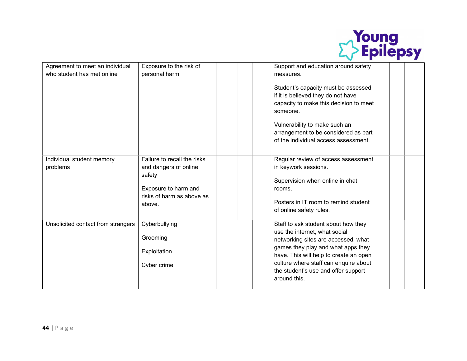

| Agreement to meet an individual       | Exposure to the risk of                                                                                                       | Support and education around safety                                                                                                                                                                                                                                                         |
|---------------------------------------|-------------------------------------------------------------------------------------------------------------------------------|---------------------------------------------------------------------------------------------------------------------------------------------------------------------------------------------------------------------------------------------------------------------------------------------|
| who student has met online            | personal harm                                                                                                                 | measures.                                                                                                                                                                                                                                                                                   |
|                                       |                                                                                                                               | Student's capacity must be assessed<br>if it is believed they do not have<br>capacity to make this decision to meet<br>someone.<br>Vulnerability to make such an<br>arrangement to be considered as part<br>of the individual access assessment.                                            |
| Individual student memory<br>problems | Failure to recall the risks<br>and dangers of online<br>safety<br>Exposure to harm and<br>risks of harm as above as<br>above. | Regular review of access assessment<br>in keywork sessions.<br>Supervision when online in chat<br>rooms.<br>Posters in IT room to remind student<br>of online safety rules.                                                                                                                 |
| Unsolicited contact from strangers    | Cyberbullying<br>Grooming<br>Exploitation<br>Cyber crime                                                                      | Staff to ask student about how they<br>use the internet, what social<br>networking sites are accessed, what<br>games they play and what apps they<br>have. This will help to create an open<br>culture where staff can enquire about<br>the student's use and offer support<br>around this. |